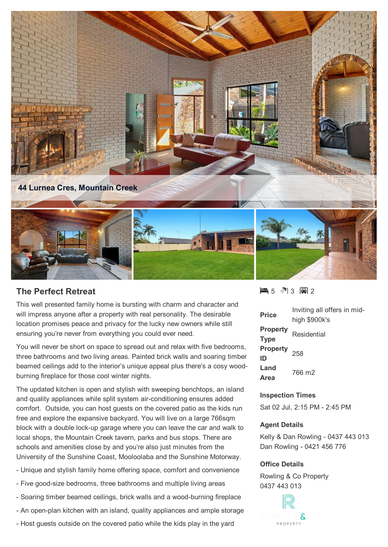

## **The Perfect Retreat**

This well presented family home is bursting with charm and character and will impress anyone after a property with real personality. The desirable location promises peace and privacy for the lucky new owners while still ensuring you're never from everything you could ever need.

You will never be short on space to spread out and relax with five bedrooms, three bathrooms and two living areas. Painted brick walls and soaring timber beamed ceilings add to the interior's unique appeal plus there's a cosy woodburning fireplace for those cool winter nights.

The updated kitchen is open and stylish with sweeping benchtops, an island and quality appliances while split system air-conditioning ensures added comfort. Outside, you can host guests on the covered patio as the kids run free and explore the expansive backyard. You will live on a large 766sqm block with a double lock-up garage where you can leave the car and walk to local shops, the Mountain Creek tavern, parks and bus stops. There are schools and amenities close by and you're also just minutes from the University of the Sunshine Coast, Mooloolaba and the Sunshine Motorway.

- Unique and stylish family home offering space, comfort and convenience
- Five good-size bedrooms, three bathrooms and multiple living areas
- Soaring timber beamed ceilings, brick walls and a wood-burning fireplace
- An open-plan kitchen with an island, quality appliances and ample storage
- Host guests outside on the covered patio while the kids play in the yard

5 3 2

| Price                          | Inviting all offers in mid-<br>high \$900k's |
|--------------------------------|----------------------------------------------|
| <b>Property</b><br><b>Type</b> | Residential                                  |
| Property <sub>258</sub><br>ID  |                                              |
| Land<br>Area                   | 766 m2                                       |

## **Inspection Times**

Sat 02 Jul, 2:15 PM - 2:45 PM

## **Agent Details**

Kelly & Dan Rowling - 0437 443 013 Dan Rowling - 0421 456 776

## **Office Details**

Rowling & Co Property 0437 443 013